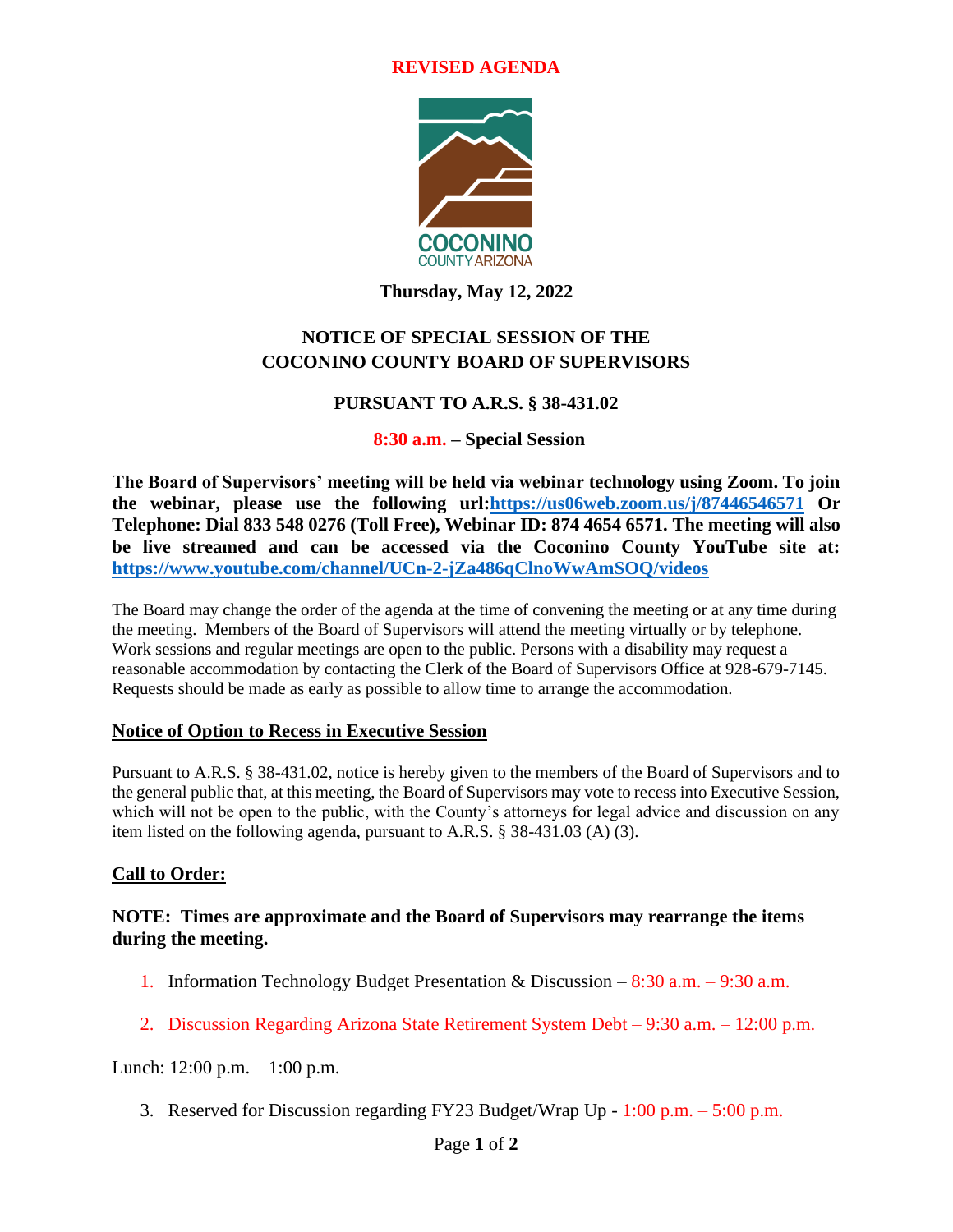#### **REVISED AGENDA**



**Thursday, May 12, 2022**

# **NOTICE OF SPECIAL SESSION OF THE COCONINO COUNTY BOARD OF SUPERVISORS**

# **PURSUANT TO A.R.S. § 38-431.02**

# **8:30 a.m. – Special Session**

**The Board of Supervisors' meeting will be held via webinar technology using Zoom. To join the webinar, please use the following url[:https://us06web.zoom.us/j/87446546571](https://us06web.zoom.us/j/87446546571) Or Telephone: Dial 833 548 0276 (Toll Free), Webinar ID: 874 4654 6571. The meeting will also be live streamed and can be accessed via the Coconino County YouTube site at: <https://www.youtube.com/channel/UCn-2-jZa486qClnoWwAmSOQ/videos>**

The Board may change the order of the agenda at the time of convening the meeting or at any time during the meeting. Members of the Board of Supervisors will attend the meeting virtually or by telephone. Work sessions and regular meetings are open to the public. Persons with a disability may request a reasonable accommodation by contacting the Clerk of the Board of Supervisors Office at 928-679-7145. Requests should be made as early as possible to allow time to arrange the accommodation.

# **Notice of Option to Recess in Executive Session**

Pursuant to A.R.S. § 38-431.02, notice is hereby given to the members of the Board of Supervisors and to the general public that, at this meeting, the Board of Supervisors may vote to recess into Executive Session, which will not be open to the public, with the County's attorneys for legal advice and discussion on any item listed on the following agenda, pursuant to A.R.S. § 38-431.03 (A) (3).

# **Call to Order:**

#### **NOTE: Times are approximate and the Board of Supervisors may rearrange the items during the meeting.**

- 1. Information Technology Budget Presentation & Discussion 8:30 a.m. 9:30 a.m.
- 2. Discussion Regarding Arizona State Retirement System Debt 9:30 a.m. 12:00 p.m.

Lunch: 12:00 p.m. – 1:00 p.m.

3. Reserved for Discussion regarding FY23 Budget/Wrap Up - 1:00 p.m. – 5:00 p.m.